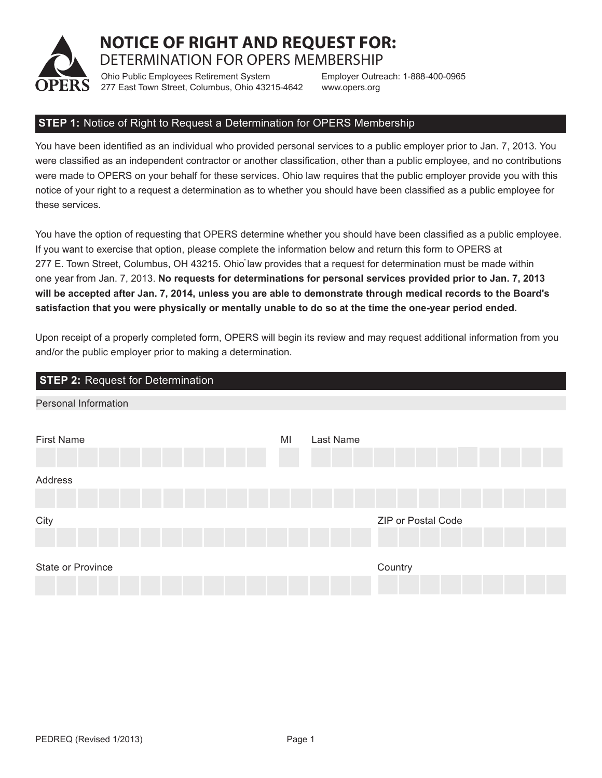

**NOTICE OF RIGHT AND REQUEST FOR:**  DETERMINATION FOR OPERS MEMBERSHIP

Ohio Public Employees Retirement System 277 East Town Street, Columbus, Ohio 43215-4642 Employer Outreach: 1-888-400-0965 www.opers.org

## **STEP 1:** Notice of Right to Request a Determination for OPERS Membership

You have been identified as an individual who provided personal services to a public employer prior to Jan. 7, 2013. You were classified as an independent contractor or another classification, other than a public employee, and no contributions were made to OPERS on your behalf for these services. Ohio law requires that the public employer provide you with this notice of your right to a request a determination as to whether you should have been classified as a public employee for these services.

You have the option of requesting that OPERS determine whether you should have been classified as a public employee. If you want to exercise that option, please complete the information below and return this form to OPERS at 277 E. Town Street, Columbus, OH 43215. Ohio law provides that a request for determination must be made within one year from Jan. 7, 2013. **No requests for determinations for personal services provided prior to Jan. 7, 2013 will be accepted after Jan. 7, 2014, unless you are able to demonstrate through medical records to the Board's satisfaction that you were physically or mentally unable to do so at the time the one-year period ended.**

Upon receipt of a properly completed form, OPERS will begin its review and may request additional information from you and/or the public employer prior to making a determination.

| <b>STEP 2: Request for Determination</b> |                 |                    |
|------------------------------------------|-----------------|--------------------|
| <b>Personal Information</b>              |                 |                    |
|                                          |                 |                    |
| <b>First Name</b>                        | MI<br>Last Name |                    |
|                                          |                 |                    |
| Address                                  |                 |                    |
|                                          |                 |                    |
| City                                     |                 | ZIP or Postal Code |
|                                          |                 |                    |
|                                          |                 |                    |
| State or Province                        |                 | Country            |